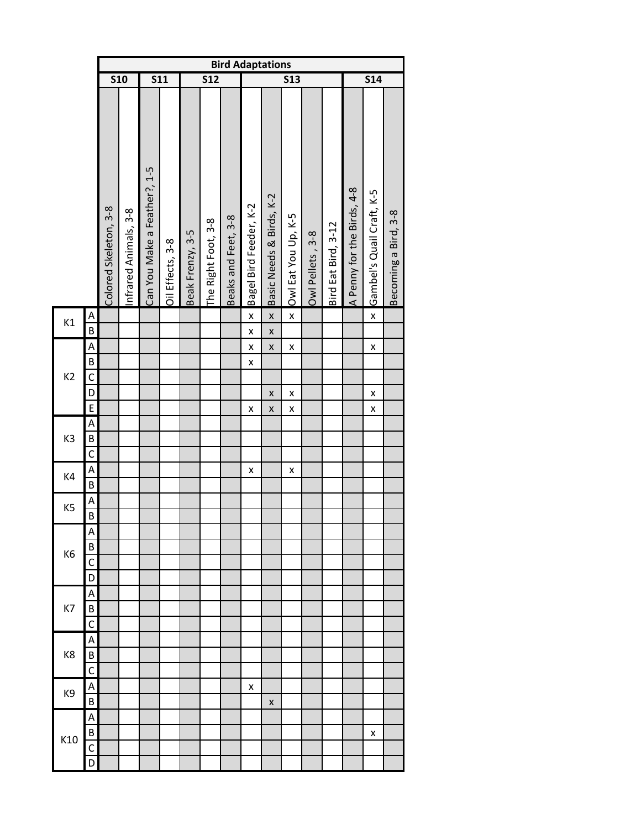|                |                                  |                       |                       |                              |                  |                  |                         |                     | <b>Bird Adaptations</b> |                          |                         |                  |                     |                            |                           |                      |
|----------------|----------------------------------|-----------------------|-----------------------|------------------------------|------------------|------------------|-------------------------|---------------------|-------------------------|--------------------------|-------------------------|------------------|---------------------|----------------------------|---------------------------|----------------------|
|                |                                  |                       | <b>S10</b>            | <b>S11</b>                   |                  |                  | $\overline{\text{S12}}$ |                     |                         |                          | $\overline{\text{S}13}$ |                  |                     |                            | S14                       |                      |
|                |                                  | Colored Skeleton, 3-8 | Infrared Animals, 3-8 | Can You Make a Feather?, 1-5 | Oil Effects, 3-8 | Beak Frenzy, 3-5 | The Right Foot, 3-8     | Beaks and Feet, 3-8 | Bagel Bird Feeder, K-2  | Basic Needs & Birds, K-2 | Owl Eat You Up, K-5     | Owl Pellets, 3-8 | Bird Eat Bird, 3-12 | A Penny for the Birds, 4-8 | Gambel's Quail Craft, K-5 | Becoming a Bird, 3-8 |
|                |                                  |                       |                       |                              |                  |                  |                         |                     |                         | $\mathsf{x}$             | $\pmb{\mathsf{x}}$      |                  |                     |                            |                           |                      |
| K1             | Α<br>$\overline{B}$              |                       |                       |                              |                  |                  |                         |                     | X                       | $\mathsf{x}$             |                         |                  |                     |                            | $\pmb{\mathsf{x}}$        |                      |
|                |                                  |                       |                       |                              |                  |                  |                         |                     | X                       |                          |                         |                  |                     |                            |                           |                      |
|                | A                                |                       |                       |                              |                  |                  |                         |                     | X                       | $\mathsf{x}$             | X                       |                  |                     |                            | X                         |                      |
| K <sub>2</sub> | B<br>$\overline{C}$              |                       |                       |                              |                  |                  |                         |                     | X                       |                          |                         |                  |                     |                            |                           |                      |
|                |                                  |                       |                       |                              |                  |                  |                         |                     |                         |                          |                         |                  |                     |                            |                           |                      |
|                | $\overline{D}$<br>$\overline{E}$ |                       |                       |                              |                  |                  |                         |                     | X                       | X<br>X                   | X<br>X                  |                  |                     |                            | X<br>X                    |                      |
|                | A                                |                       |                       |                              |                  |                  |                         |                     |                         |                          |                         |                  |                     |                            |                           |                      |
| K <sub>3</sub> | B                                |                       |                       |                              |                  |                  |                         |                     |                         |                          |                         |                  |                     |                            |                           |                      |
|                | $\overline{C}$                   |                       |                       |                              |                  |                  |                         |                     |                         |                          |                         |                  |                     |                            |                           |                      |
|                | A                                |                       |                       |                              |                  |                  |                         |                     | X                       |                          | $\pmb{\mathsf{x}}$      |                  |                     |                            |                           |                      |
| K4             | $\overline{B}$                   |                       |                       |                              |                  |                  |                         |                     |                         |                          |                         |                  |                     |                            |                           |                      |
|                | A                                |                       |                       |                              |                  |                  |                         |                     |                         |                          |                         |                  |                     |                            |                           |                      |
| K <sub>5</sub> | B                                |                       |                       |                              |                  |                  |                         |                     |                         |                          |                         |                  |                     |                            |                           |                      |
|                | Α                                |                       |                       |                              |                  |                  |                         |                     |                         |                          |                         |                  |                     |                            |                           |                      |
|                | B                                |                       |                       |                              |                  |                  |                         |                     |                         |                          |                         |                  |                     |                            |                           |                      |
| K <sub>6</sub> | C                                |                       |                       |                              |                  |                  |                         |                     |                         |                          |                         |                  |                     |                            |                           |                      |
|                | D                                |                       |                       |                              |                  |                  |                         |                     |                         |                          |                         |                  |                     |                            |                           |                      |
|                | Α                                |                       |                       |                              |                  |                  |                         |                     |                         |                          |                         |                  |                     |                            |                           |                      |
| K7             | B                                |                       |                       |                              |                  |                  |                         |                     |                         |                          |                         |                  |                     |                            |                           |                      |
|                | Ċ                                |                       |                       |                              |                  |                  |                         |                     |                         |                          |                         |                  |                     |                            |                           |                      |
|                | Α                                |                       |                       |                              |                  |                  |                         |                     |                         |                          |                         |                  |                     |                            |                           |                      |
| K8             | В                                |                       |                       |                              |                  |                  |                         |                     |                         |                          |                         |                  |                     |                            |                           |                      |
|                | C                                |                       |                       |                              |                  |                  |                         |                     |                         |                          |                         |                  |                     |                            |                           |                      |
| K9             | Α                                |                       |                       |                              |                  |                  |                         |                     | x                       |                          |                         |                  |                     |                            |                           |                      |
|                | B                                |                       |                       |                              |                  |                  |                         |                     |                         | X                        |                         |                  |                     |                            |                           |                      |
|                | Α                                |                       |                       |                              |                  |                  |                         |                     |                         |                          |                         |                  |                     |                            |                           |                      |
| K10            | B                                |                       |                       |                              |                  |                  |                         |                     |                         |                          |                         |                  |                     |                            | X                         |                      |
|                | C                                |                       |                       |                              |                  |                  |                         |                     |                         |                          |                         |                  |                     |                            |                           |                      |
|                | D                                |                       |                       |                              |                  |                  |                         |                     |                         |                          |                         |                  |                     |                            |                           |                      |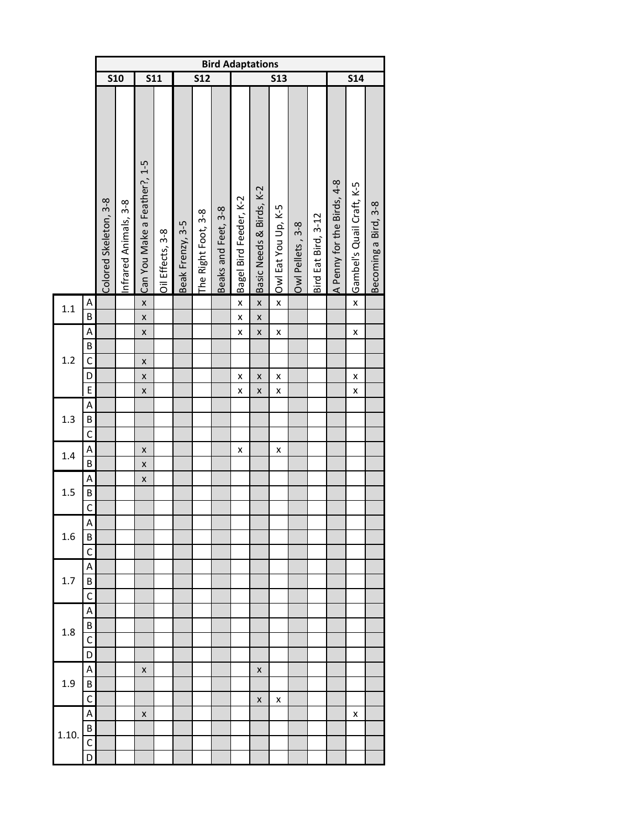|       |                                               |                       |                       |                              |                  |                  |                         |                     | <b>Bird Adaptations</b>            |                                    |                         |                  |                     |                            |                           |                      |
|-------|-----------------------------------------------|-----------------------|-----------------------|------------------------------|------------------|------------------|-------------------------|---------------------|------------------------------------|------------------------------------|-------------------------|------------------|---------------------|----------------------------|---------------------------|----------------------|
|       |                                               |                       | <b>S10</b>            | <b>S11</b>                   |                  |                  | $\overline{\text{S12}}$ |                     |                                    |                                    | <b>S13</b>              |                  |                     |                            | 514                       |                      |
|       |                                               | Colored Skeleton, 3-8 | Infrared Animals, 3-8 | Can You Make a Feather?, 1-5 | Oil Effects, 3-8 | Beak Frenzy, 3-5 | The Right Foot, 3-8     | Beaks and Feet, 3-8 | Bagel Bird Feeder, K-2             | Basic Needs & Birds, K-2           | Owl Eat You Up, K-5     | Owl Pellets, 3-8 | Bird Eat Bird, 3-12 | A Penny for the Birds, 4-8 | Gambel's Quail Craft, K-5 | Becoming a Bird, 3-8 |
| 1.1   | A<br>B                                        |                       |                       | $\mathsf{x}$<br>$\mathsf{x}$ |                  |                  |                         |                     | $\mathsf{x}$<br>$\pmb{\mathsf{x}}$ | $\mathsf{x}$<br>$\pmb{\mathsf{x}}$ | $\overline{\mathsf{x}}$ |                  |                     |                            | $\pmb{\mathsf{x}}$        |                      |
| 1.2   | Α<br>$\overline{B}$<br>$\mathsf{C}$<br>D<br>E |                       |                       | X<br>X<br>X<br>X             |                  |                  |                         |                     | X<br>X<br>$\pmb{\mathsf{x}}$       | X<br>X<br>$\pmb{\mathsf{x}}$       | X<br>X<br>X             |                  |                     |                            | X<br>X<br>X               |                      |
| 1.3   | A<br>$\overline{B}$<br>$\overline{C}$         |                       |                       |                              |                  |                  |                         |                     |                                    |                                    |                         |                  |                     |                            |                           |                      |
| 1.4   | A<br>$\overline{B}$                           |                       |                       | X<br>X                       |                  |                  |                         |                     | x                                  |                                    | X                       |                  |                     |                            |                           |                      |
| 1.5   | Α<br>B<br>$\overline{C}$                      |                       |                       | X                            |                  |                  |                         |                     |                                    |                                    |                         |                  |                     |                            |                           |                      |
| 1.6   | A<br>B<br>C                                   |                       |                       |                              |                  |                  |                         |                     |                                    |                                    |                         |                  |                     |                            |                           |                      |
| 1.7   | Α<br>B<br>C                                   |                       |                       |                              |                  |                  |                         |                     |                                    |                                    |                         |                  |                     |                            |                           |                      |
| 1.8   | А<br>B<br>C<br>D                              |                       |                       |                              |                  |                  |                         |                     |                                    |                                    |                         |                  |                     |                            |                           |                      |
| 1.9   | Α<br>B<br>$\mathsf{C}$                        |                       |                       | X                            |                  |                  |                         |                     |                                    | X<br>X                             | X                       |                  |                     |                            |                           |                      |
| 1.10. | Α<br>B<br>$\overline{C}$<br>D                 |                       |                       | X                            |                  |                  |                         |                     |                                    |                                    |                         |                  |                     |                            | x                         |                      |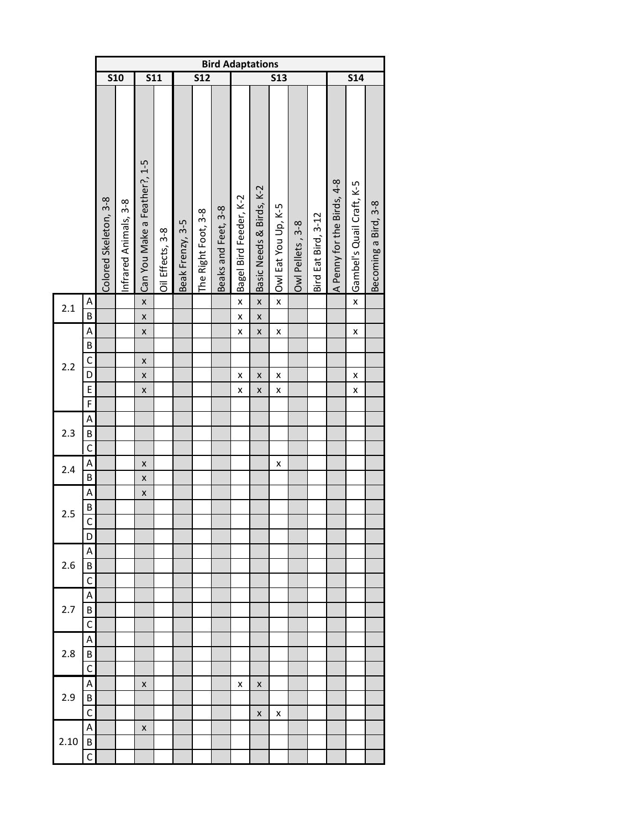|      |                                         |                       |                      |                                                                                      |                  |                  |                     | <b>Bird Adaptations</b> |                        |                              |                              |                  |                     |                            |                           |                      |
|------|-----------------------------------------|-----------------------|----------------------|--------------------------------------------------------------------------------------|------------------|------------------|---------------------|-------------------------|------------------------|------------------------------|------------------------------|------------------|---------------------|----------------------------|---------------------------|----------------------|
|      |                                         | <b>S10</b>            |                      | <b>S11</b>                                                                           |                  |                  | <b>S12</b>          |                         |                        |                              | <b>S13</b>                   |                  |                     |                            | S14                       |                      |
|      |                                         | Colored Skeleton, 3-8 | nfrared Animals, 3-8 | Can You Make a Feather?, 1-5                                                         | Oil Effects, 3-8 | Beak Frenzy, 3-5 | The Right Foot, 3-8 | Beaks and Feet, 3-8     | Bagel Bird Feeder, K-2 | Basic Needs & Birds, K-2     | Owl Eat You Up, K-5          | Owl Pellets, 3-8 | Bird Eat Bird, 3-12 | A Penny for the Birds, 4-8 | Gambel's Quail Craft, K-5 | Becoming a Bird, 3-8 |
| 2.1  | A<br>$\overline{B}$                     |                       |                      | $\pmb{\mathsf{x}}$<br>$\pmb{\mathsf{x}}$                                             |                  |                  |                     |                         | X<br>X                 | $\mathsf{x}$<br>$\mathsf{x}$ | $\mathsf{x}$                 |                  |                     |                            | $\pmb{\mathsf{x}}$        |                      |
| 2.2  | A<br>B<br>$\overline{C}$<br>D<br>E<br>F |                       |                      | $\pmb{\mathsf{x}}$<br>$\pmb{\mathsf{x}}$<br>$\pmb{\mathsf{x}}$<br>$\pmb{\mathsf{x}}$ |                  |                  |                     |                         | X<br>X<br>X            | $\pmb{\mathsf{x}}$<br>X<br>X | X<br>$\pmb{\mathsf{x}}$<br>X |                  |                     |                            | X<br>X<br>X               |                      |
| 2.3  | A<br>B<br>$\mathsf{C}$                  |                       |                      |                                                                                      |                  |                  |                     |                         |                        |                              |                              |                  |                     |                            |                           |                      |
| 2.4  | A<br>$\sf B$                            |                       |                      | X<br>$\pmb{\mathsf{x}}$                                                              |                  |                  |                     |                         |                        |                              | X                            |                  |                     |                            |                           |                      |
| 2.5  | A<br>B<br>$\overline{C}$<br>D           |                       |                      | $\pmb{\mathsf{x}}$                                                                   |                  |                  |                     |                         |                        |                              |                              |                  |                     |                            |                           |                      |
| 2.6  | А<br>B<br>C                             |                       |                      |                                                                                      |                  |                  |                     |                         |                        |                              |                              |                  |                     |                            |                           |                      |
| 2.7  | Α<br>B<br>C                             |                       |                      |                                                                                      |                  |                  |                     |                         |                        |                              |                              |                  |                     |                            |                           |                      |
| 2.8  | Α<br>В<br>C                             |                       |                      |                                                                                      |                  |                  |                     |                         |                        |                              |                              |                  |                     |                            |                           |                      |
| 2.9  | Α<br>В<br>C                             |                       |                      | X                                                                                    |                  |                  |                     |                         | x                      | X<br>x                       | x                            |                  |                     |                            |                           |                      |
| 2.10 | Α<br>В<br>C                             |                       |                      | X                                                                                    |                  |                  |                     |                         |                        |                              |                              |                  |                     |                            |                           |                      |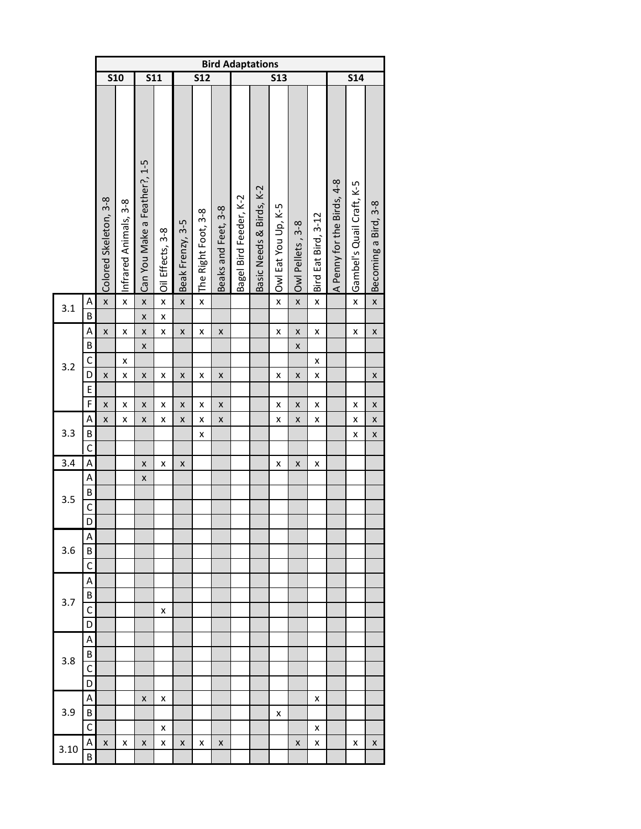|      |                                   |                         |                                               |                                               |                         |                  |                     | <b>Bird Adaptations</b>                  |                        |                          |                     |                              |                     |                            |                           |                              |
|------|-----------------------------------|-------------------------|-----------------------------------------------|-----------------------------------------------|-------------------------|------------------|---------------------|------------------------------------------|------------------------|--------------------------|---------------------|------------------------------|---------------------|----------------------------|---------------------------|------------------------------|
|      |                                   | <b>S10</b>              |                                               | $\overline{\text{S11}}$                       |                         |                  | <b>S12</b>          |                                          |                        |                          | <b>S13</b>          |                              |                     |                            | 514                       |                              |
|      |                                   | Colored Skeleton, 3-8   | Infrared Animals, 3-8                         | Can You Make a Feather?, 1-5                  | Oil Effects, 3-8        | Beak Frenzy, 3-5 | The Right Foot, 3-8 | Beaks and Feet, 3-8                      | Bagel Bird Feeder, K-2 | Basic Needs & Birds, K-2 | Owl Eat You Up, K-5 | Owl Pellets, 3-8             | Bird Eat Bird, 3-12 | A Penny for the Birds, 4-8 | Gambel's Quail Craft, K-5 | Becoming a Bird, 3-8         |
| 3.1  | A<br>B                            | $\overline{\mathsf{x}}$ | $\overline{\mathbf{x}}$                       | $\mathsf{x}$<br>X                             | $\pmb{\mathsf{x}}$<br>X | $\mathsf{x}$     | $\mathsf{x}$        |                                          |                        |                          | $\mathsf{x}$        | $\pmb{\mathsf{x}}$           | $\pmb{\mathsf{x}}$  |                            | $\mathsf{x}$              | $\mathsf{x}$                 |
| 3.2  | A<br>B<br>C<br>D<br>E             | X<br>X                  | $\pmb{\mathsf{x}}$<br>X<br>$\pmb{\mathsf{x}}$ | $\pmb{\mathsf{x}}$<br>$\pmb{\mathsf{x}}$<br>X | X<br>x                  | X<br>X           | X<br>X              | $\pmb{\mathsf{X}}$<br>$\pmb{\mathsf{x}}$ |                        |                          | X<br>X              | X<br>$\pmb{\mathsf{X}}$<br>X | X<br>x<br>x         |                            | X                         | $\pmb{\mathsf{x}}$<br>X      |
| 3.3  | F<br>A<br>B<br>$\overline{C}$     | X<br>X                  | X<br>X                                        | X<br>X                                        | X<br>Χ                  | X<br>X           | X<br>X<br>X         | $\pmb{\mathsf{x}}$<br>$\pmb{\mathsf{X}}$ |                        |                          | X<br>X              | X<br>$\pmb{\mathsf{X}}$      | x<br>X              |                            | X<br>X<br>X               | X<br>$\pmb{\mathsf{x}}$<br>X |
| 3.4  | A                                 |                         |                                               | $\pmb{\mathsf{X}}$                            | Χ                       | X                |                     |                                          |                        |                          | X                   | $\pmb{\mathsf{X}}$           | X                   |                            |                           |                              |
| 3.5  | Α<br>$\sf B$<br>$\mathsf{C}$<br>D |                         |                                               | X                                             |                         |                  |                     |                                          |                        |                          |                     |                              |                     |                            |                           |                              |
| 3.6  | Α<br>В<br>C                       |                         |                                               |                                               |                         |                  |                     |                                          |                        |                          |                     |                              |                     |                            |                           |                              |
| 3.7  | Α<br>В<br>C<br>D                  |                         |                                               |                                               | x                       |                  |                     |                                          |                        |                          |                     |                              |                     |                            |                           |                              |
| 3.8  | А<br>B<br>C<br>D                  |                         |                                               |                                               |                         |                  |                     |                                          |                        |                          |                     |                              |                     |                            |                           |                              |
| 3.9  | A<br>В                            |                         |                                               | X                                             | x                       |                  |                     |                                          |                        |                          | x                   |                              | x                   |                            |                           |                              |
| 3.10 | C<br>A<br>B                       | X                       | x                                             | X                                             | x<br>x                  | x                | x                   | X                                        |                        |                          |                     | X                            | x<br>x              |                            | x                         | X                            |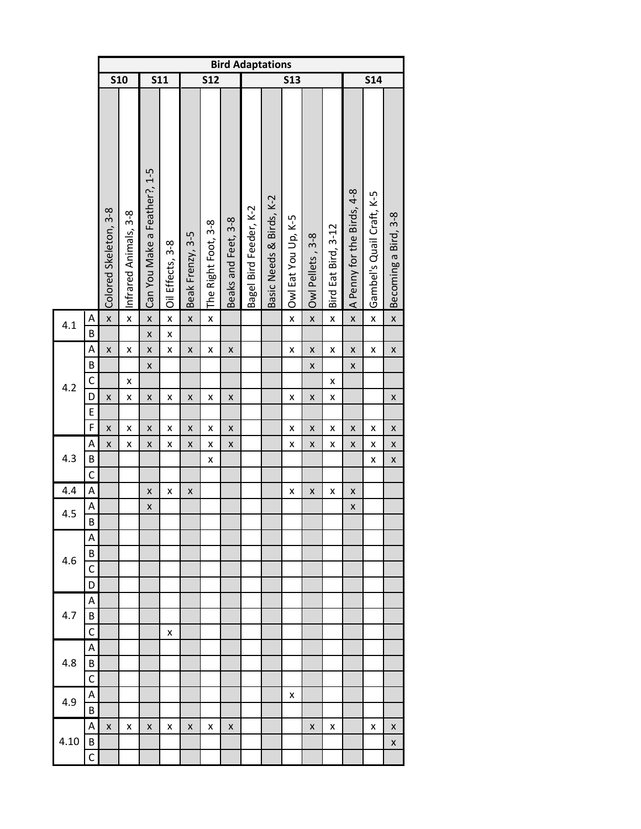|      |                |                       |                       |                              |                    |                    |                     |                     |                        | <b>Bird Adaptations</b>  |                     |                    |                     |                            |                           |                      |
|------|----------------|-----------------------|-----------------------|------------------------------|--------------------|--------------------|---------------------|---------------------|------------------------|--------------------------|---------------------|--------------------|---------------------|----------------------------|---------------------------|----------------------|
|      |                | $\overline{510}$      |                       | <b>S11</b>                   |                    |                    | $\overline{512}$    |                     |                        |                          | <b>S13</b>          |                    |                     |                            | <b>S14</b>                |                      |
|      |                | Colored Skeleton, 3-8 | Infrared Animals, 3-8 | Can You Make a Feather?, 1-5 | Oil Effects, 3-8   | Beak Frenzy, 3-5   | The Right Foot, 3-8 | Beaks and Feet, 3-8 | Bagel Bird Feeder, K-2 | Basic Needs & Birds, K-2 | Owl Eat You Up, K-5 | Owl Pellets, 3-8   | Bird Eat Bird, 3-12 | A Penny for the Birds, 4-8 | Gambel's Quail Craft, K-5 | Becoming a Bird, 3-8 |
| 4.1  | Α              | $\pmb{\mathsf{x}}$    | $\pmb{\mathsf{x}}$    | $\pmb{\mathsf{x}}$           | $\pmb{\mathsf{x}}$ | $\pmb{\mathsf{x}}$ | $\pmb{\mathsf{x}}$  |                     |                        |                          | $\pmb{\mathsf{x}}$  | $\pmb{\mathsf{x}}$ | $\pmb{\mathsf{x}}$  | $\pmb{\mathsf{x}}$         | X                         | $\pmb{\mathsf{x}}$   |
|      | B              |                       |                       | $\pmb{\mathsf{x}}$           | X                  |                    |                     |                     |                        |                          |                     |                    |                     |                            |                           |                      |
|      | A              | X                     | X                     | $\pmb{\mathsf{x}}$           | X                  | $\pmb{\mathsf{X}}$ | X                   | $\pmb{\mathsf{X}}$  |                        |                          | $\pmb{\mathsf{X}}$  | $\pmb{\mathsf{X}}$ | X                   | $\pmb{\mathsf{X}}$         | X                         | $\pmb{\mathsf{X}}$   |
|      | B              |                       |                       | $\pmb{\mathsf{x}}$           |                    |                    |                     |                     |                        |                          |                     | X                  |                     | $\pmb{\mathsf{X}}$         |                           |                      |
|      | $\mathsf{C}$   |                       | X                     |                              |                    |                    |                     |                     |                        |                          |                     |                    | X                   |                            |                           |                      |
| 4.2  | D              | X                     | X                     | X                            | X                  | X                  | X                   | X                   |                        |                          | X                   | X                  | $\pmb{\mathsf{x}}$  |                            |                           | X                    |
|      | E              |                       |                       |                              |                    |                    |                     |                     |                        |                          |                     |                    |                     |                            |                           |                      |
|      | F              | X                     | X                     | X                            | x                  | X                  | Χ                   | X                   |                        |                          | X                   | X                  | Χ                   | X                          | X                         | X                    |
|      | Α              | X                     | X                     | $\pmb{\mathsf{X}}$           | X                  | $\pmb{\mathsf{X}}$ | X                   | X                   |                        |                          | $\pmb{\mathsf{X}}$  | X                  | X                   | $\pmb{\mathsf{X}}$         | X                         | $\pmb{\mathsf{X}}$   |
| 4.3  | B              |                       |                       |                              |                    |                    | X                   |                     |                        |                          |                     |                    |                     |                            | X                         | X                    |
|      | $\mathsf{C}$   |                       |                       |                              |                    |                    |                     |                     |                        |                          |                     |                    |                     |                            |                           |                      |
| 4.4  | A              |                       |                       | X                            | X                  | X                  |                     |                     |                        |                          | Χ                   | X                  | X                   | X                          |                           |                      |
| 4.5  | A              |                       |                       | $\pmb{\mathsf{X}}$           |                    |                    |                     |                     |                        |                          |                     |                    |                     | X                          |                           |                      |
|      | $\overline{B}$ |                       |                       |                              |                    |                    |                     |                     |                        |                          |                     |                    |                     |                            |                           |                      |
|      | Α              |                       |                       |                              |                    |                    |                     |                     |                        |                          |                     |                    |                     |                            |                           |                      |
| 4.6  | B              |                       |                       |                              |                    |                    |                     |                     |                        |                          |                     |                    |                     |                            |                           |                      |
|      | C              |                       |                       |                              |                    |                    |                     |                     |                        |                          |                     |                    |                     |                            |                           |                      |
|      | D              |                       |                       |                              |                    |                    |                     |                     |                        |                          |                     |                    |                     |                            |                           |                      |
|      | Α              |                       |                       |                              |                    |                    |                     |                     |                        |                          |                     |                    |                     |                            |                           |                      |
| 4.7  | B              |                       |                       |                              |                    |                    |                     |                     |                        |                          |                     |                    |                     |                            |                           |                      |
|      | $\mathsf{C}$   |                       |                       |                              | x                  |                    |                     |                     |                        |                          |                     |                    |                     |                            |                           |                      |
|      | Α              |                       |                       |                              |                    |                    |                     |                     |                        |                          |                     |                    |                     |                            |                           |                      |
| 4.8  | B              |                       |                       |                              |                    |                    |                     |                     |                        |                          |                     |                    |                     |                            |                           |                      |
|      | $\mathsf{C}$   |                       |                       |                              |                    |                    |                     |                     |                        |                          |                     |                    |                     |                            |                           |                      |
| 4.9  | Α              |                       |                       |                              |                    |                    |                     |                     |                        |                          | x                   |                    |                     |                            |                           |                      |
|      | B              |                       |                       |                              |                    |                    |                     |                     |                        |                          |                     |                    |                     |                            |                           |                      |
| 4.10 | Α              | X                     | x                     | X                            | x                  | x                  | x                   | X                   |                        |                          |                     | X                  | x                   |                            | x                         | X                    |
|      | B              |                       |                       |                              |                    |                    |                     |                     |                        |                          |                     |                    |                     |                            |                           | X                    |
|      | C              |                       |                       |                              |                    |                    |                     |                     |                        |                          |                     |                    |                     |                            |                           |                      |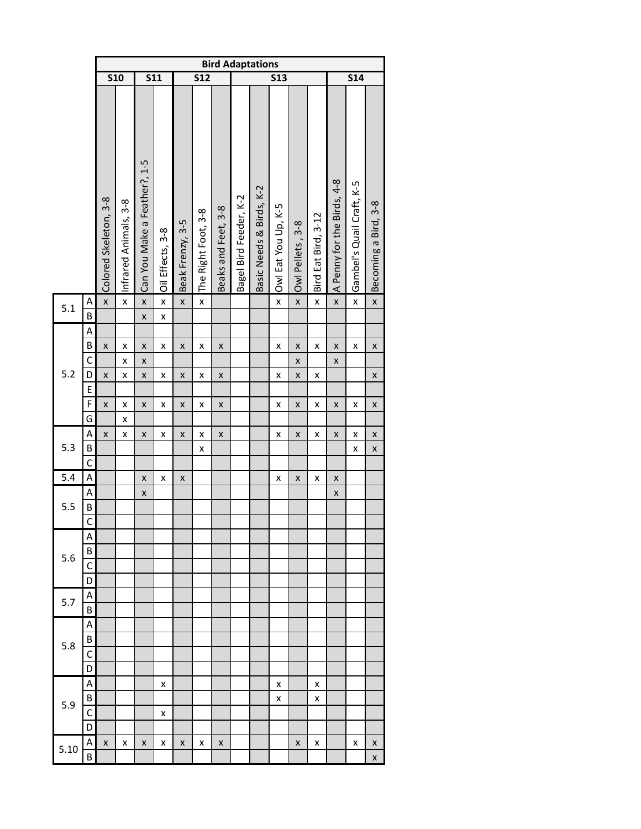|      |                |                       | <b>S10</b><br>$\overline{\text{S11}}$ |                              |                     |                    |                     | <b>Bird Adaptations</b> |                        |                          |                     |                    |                     |                            |                           |                      |
|------|----------------|-----------------------|---------------------------------------|------------------------------|---------------------|--------------------|---------------------|-------------------------|------------------------|--------------------------|---------------------|--------------------|---------------------|----------------------------|---------------------------|----------------------|
|      |                |                       |                                       |                              |                     |                    | <b>S12</b>          |                         |                        |                          | <b>S13</b>          |                    |                     |                            | <b>S14</b>                |                      |
|      |                | Colored Skeleton, 3-8 | Infrared Animals, 3-8                 | Can You Make a Feather?, 1-5 | Oil Effects, 3-8    | Beak Frenzy, 3-5   | The Right Foot, 3-8 | Beaks and Feet, 3-8     | Bagel Bird Feeder, K-2 | Basic Needs & Birds, K-2 | Owl Eat You Up, K-5 | Owl Pellets, 3-8   | Bird Eat Bird, 3-12 | A Penny for the Birds, 4-8 | Gambel's Quail Craft, K-5 | Becoming a Bird, 3-8 |
| 5.1  | A<br>B         | $\pmb{\times}$        | $\overline{\mathbf{x}}$               | $\mathsf{x}$<br>X            | $\pmb{\times}$<br>X | $\pmb{\mathsf{x}}$ | X                   |                         |                        |                          | $\mathsf{x}$        | $\pmb{\mathsf{x}}$ | X                   | $\overline{\mathsf{x}}$    | $\mathsf{x}$              | $\mathsf{x}$         |
|      | A              |                       |                                       |                              |                     |                    |                     |                         |                        |                          |                     |                    |                     |                            |                           |                      |
|      | B              | $\pmb{\mathsf{X}}$    | X                                     | X                            | X                   | $\pmb{\mathsf{x}}$ | X                   | $\pmb{\mathsf{x}}$      |                        |                          | X                   | $\pmb{\mathsf{X}}$ | X                   | X                          | X                         | X                    |
|      | $\mathsf{C}$   |                       | X                                     | X                            |                     |                    |                     |                         |                        |                          |                     | $\pmb{\mathsf{X}}$ |                     | X                          |                           |                      |
| 5.2  | D              | X                     | X                                     | X                            | $\pmb{\mathsf{x}}$  | $\pmb{\mathsf{X}}$ | X                   | $\pmb{\mathsf{X}}$      |                        |                          | X                   | $\pmb{\mathsf{X}}$ | X                   |                            |                           | X                    |
|      | E              |                       |                                       |                              |                     |                    |                     |                         |                        |                          |                     |                    |                     |                            |                           |                      |
|      | F              | X                     | X                                     | X                            | X                   | X                  | X                   | X                       |                        |                          | X                   | X                  | x                   | X                          | X                         | X                    |
|      | G              |                       | X                                     |                              |                     |                    |                     |                         |                        |                          |                     |                    |                     |                            |                           |                      |
|      | Α              | X                     | X                                     | X                            | X                   | X                  | X                   | X                       |                        |                          | X                   | X                  | x                   | X                          | X                         | X                    |
| 5.3  | B              |                       |                                       |                              |                     |                    | X                   |                         |                        |                          |                     |                    |                     |                            | X                         | X                    |
|      | $\mathsf{C}$   |                       |                                       |                              |                     |                    |                     |                         |                        |                          |                     |                    |                     |                            |                           |                      |
| 5.4  | A              |                       |                                       | X                            | X                   | X                  |                     |                         |                        |                          | X                   | X                  | x                   | X                          |                           |                      |
|      | Α              |                       |                                       | X                            |                     |                    |                     |                         |                        |                          |                     |                    |                     | X                          |                           |                      |
| 5.5  | B              |                       |                                       |                              |                     |                    |                     |                         |                        |                          |                     |                    |                     |                            |                           |                      |
|      | $\overline{C}$ |                       |                                       |                              |                     |                    |                     |                         |                        |                          |                     |                    |                     |                            |                           |                      |
|      | А              |                       |                                       |                              |                     |                    |                     |                         |                        |                          |                     |                    |                     |                            |                           |                      |
|      | B              |                       |                                       |                              |                     |                    |                     |                         |                        |                          |                     |                    |                     |                            |                           |                      |
| 5.6  | C              |                       |                                       |                              |                     |                    |                     |                         |                        |                          |                     |                    |                     |                            |                           |                      |
|      | D              |                       |                                       |                              |                     |                    |                     |                         |                        |                          |                     |                    |                     |                            |                           |                      |
|      | Α              |                       |                                       |                              |                     |                    |                     |                         |                        |                          |                     |                    |                     |                            |                           |                      |
| 5.7  | B              |                       |                                       |                              |                     |                    |                     |                         |                        |                          |                     |                    |                     |                            |                           |                      |
|      | Α              |                       |                                       |                              |                     |                    |                     |                         |                        |                          |                     |                    |                     |                            |                           |                      |
|      | B              |                       |                                       |                              |                     |                    |                     |                         |                        |                          |                     |                    |                     |                            |                           |                      |
| 5.8  | C              |                       |                                       |                              |                     |                    |                     |                         |                        |                          |                     |                    |                     |                            |                           |                      |
|      | D              |                       |                                       |                              |                     |                    |                     |                         |                        |                          |                     |                    |                     |                            |                           |                      |
|      | А              |                       |                                       |                              | x                   |                    |                     |                         |                        |                          | x                   |                    | x                   |                            |                           |                      |
|      | B              |                       |                                       |                              |                     |                    |                     |                         |                        |                          | X                   |                    | x                   |                            |                           |                      |
| 5.9  | C              |                       |                                       |                              | x                   |                    |                     |                         |                        |                          |                     |                    |                     |                            |                           |                      |
|      | D              |                       |                                       |                              |                     |                    |                     |                         |                        |                          |                     |                    |                     |                            |                           |                      |
|      | Α              | x                     | x                                     | X                            | x                   | X                  | x                   | X                       |                        |                          |                     | X                  | x                   |                            | x                         | x                    |
| 5.10 | B              |                       |                                       |                              |                     |                    |                     |                         |                        |                          |                     |                    |                     |                            |                           | X                    |
|      |                |                       |                                       |                              |                     |                    |                     |                         |                        |                          |                     |                    |                     |                            |                           |                      |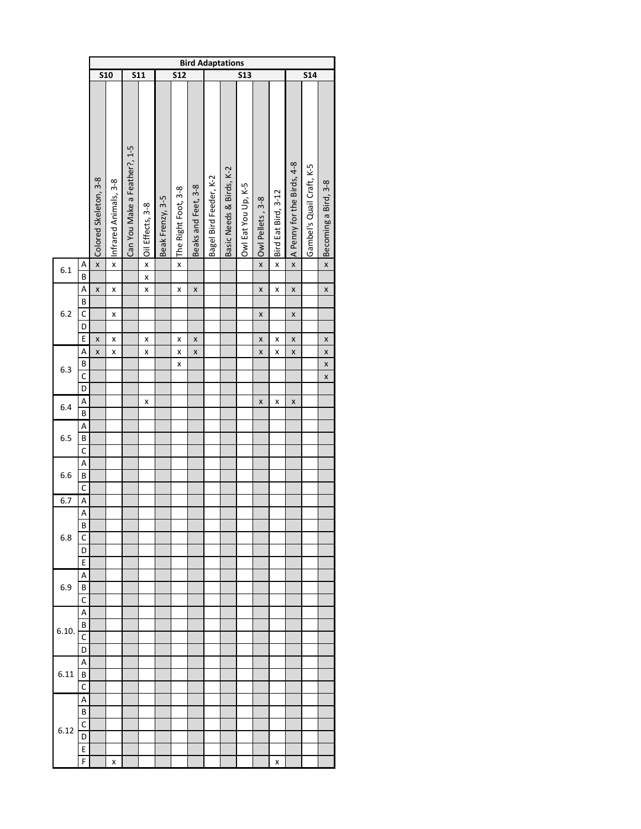|       |                                  | <b>Bird Adaptations</b> |                       |                              |                         |                  |                     |                     |                        |                          |                     |                  |                       |                            |                                                                                                                                                                                                                                                                                                                                                                                                                                                                                                                                                               |                      |
|-------|----------------------------------|-------------------------|-----------------------|------------------------------|-------------------------|------------------|---------------------|---------------------|------------------------|--------------------------|---------------------|------------------|-----------------------|----------------------------|---------------------------------------------------------------------------------------------------------------------------------------------------------------------------------------------------------------------------------------------------------------------------------------------------------------------------------------------------------------------------------------------------------------------------------------------------------------------------------------------------------------------------------------------------------------|----------------------|
|       |                                  | <b>S10</b>              |                       | $\overline{\text{S11}}$      |                         |                  | 512                 |                     |                        |                          | 513                 |                  |                       |                            | $\overline{\overline{\phantom{a}}\overline{\phantom{a}}\overline{\phantom{a}}\overline{\phantom{a}}\overline{\phantom{a}}\overline{\phantom{a}}\overline{\phantom{a}}\overline{\phantom{a}}\overline{\phantom{a}}\overline{\phantom{a}}\overline{\phantom{a}}\overline{\phantom{a}}\overline{\phantom{a}}\overline{\phantom{a}}\overline{\phantom{a}}\overline{\phantom{a}}\overline{\phantom{a}}\overline{\phantom{a}}\overline{\phantom{a}}\overline{\phantom{a}}\overline{\phantom{a}}\overline{\phantom{a}}\overline{\phantom{a}}\overline{\phantom{a}}\$ |                      |
|       |                                  | Colored Skeleton, 3-8   | Infrared Animals, 3-8 | Can You Make a Feather?, 1-5 | Oil Effects, 3-8        | Beak Frenzy, 3-5 | The Right Foot, 3-8 | Beaks and Feet, 3-8 | Bagel Bird Feeder, K-2 | Basic Needs & Birds, K-2 | Owl Eat You Up, K-5 | Owl Pellets, 3-8 | x Bird Eat Bird, 3-12 | A Penny for the Birds, 4-8 | Gambel's Quail Craft, K-5                                                                                                                                                                                                                                                                                                                                                                                                                                                                                                                                     | Becoming a Bird, 3-8 |
| 6.1   | $\overline{A}$<br>$\overline{B}$ | $\mathsf{x}$            | $\mathsf{x}$          |                              | $\overline{\mathbf{x}}$ |                  | $\pmb{\mathsf{x}}$  |                     |                        |                          |                     | $\mathsf{x}$     |                       | $\mathbf{x}$               |                                                                                                                                                                                                                                                                                                                                                                                                                                                                                                                                                               | $\pmb{\mathsf{x}}$   |
|       |                                  |                         |                       |                              | $\mathsf{x}$            |                  |                     |                     |                        |                          |                     |                  |                       |                            |                                                                                                                                                                                                                                                                                                                                                                                                                                                                                                                                                               |                      |
|       | A<br>B                           | X                       | X                     |                              | X                       |                  | X                   | X                   |                        |                          |                     | X                | X                     | X                          |                                                                                                                                                                                                                                                                                                                                                                                                                                                                                                                                                               | X                    |
| 6.2   | $\mathsf{C}$                     |                         |                       |                              |                         |                  |                     |                     |                        |                          |                     |                  |                       |                            |                                                                                                                                                                                                                                                                                                                                                                                                                                                                                                                                                               |                      |
|       | D                                |                         | X                     |                              |                         |                  |                     |                     |                        |                          |                     | X                |                       | X                          |                                                                                                                                                                                                                                                                                                                                                                                                                                                                                                                                                               |                      |
|       | E                                | X                       | X                     |                              | X                       |                  |                     |                     |                        |                          |                     | X                | X                     | X                          |                                                                                                                                                                                                                                                                                                                                                                                                                                                                                                                                                               |                      |
|       |                                  |                         |                       |                              |                         |                  | X                   | X                   |                        |                          |                     |                  |                       |                            |                                                                                                                                                                                                                                                                                                                                                                                                                                                                                                                                                               | X                    |
|       | $\overline{A}$<br>$\overline{B}$ | X                       | X                     |                              | X                       |                  | X                   | X                   |                        |                          |                     | X                | X                     | X                          |                                                                                                                                                                                                                                                                                                                                                                                                                                                                                                                                                               | X<br>X               |
| 6.3   | $\overline{\mathsf{C}}$          |                         |                       |                              |                         |                  | X                   |                     |                        |                          |                     |                  |                       |                            |                                                                                                                                                                                                                                                                                                                                                                                                                                                                                                                                                               | X                    |
|       | $\overline{D}$                   |                         |                       |                              |                         |                  |                     |                     |                        |                          |                     |                  |                       |                            |                                                                                                                                                                                                                                                                                                                                                                                                                                                                                                                                                               |                      |
|       | $\mathsf{A}$                     |                         |                       |                              | X                       |                  |                     |                     |                        |                          |                     | X                | X                     | X                          |                                                                                                                                                                                                                                                                                                                                                                                                                                                                                                                                                               |                      |
| 6.4   | $\overline{\mathsf{B}}$          |                         |                       |                              |                         |                  |                     |                     |                        |                          |                     |                  |                       |                            |                                                                                                                                                                                                                                                                                                                                                                                                                                                                                                                                                               |                      |
|       | $\overline{\mathsf{A}}$          |                         |                       |                              |                         |                  |                     |                     |                        |                          |                     |                  |                       |                            |                                                                                                                                                                                                                                                                                                                                                                                                                                                                                                                                                               |                      |
| 6.5   | B                                |                         |                       |                              |                         |                  |                     |                     |                        |                          |                     |                  |                       |                            |                                                                                                                                                                                                                                                                                                                                                                                                                                                                                                                                                               |                      |
|       | $\overline{C}$                   |                         |                       |                              |                         |                  |                     |                     |                        |                          |                     |                  |                       |                            |                                                                                                                                                                                                                                                                                                                                                                                                                                                                                                                                                               |                      |
|       | $\overline{A}$                   |                         |                       |                              |                         |                  |                     |                     |                        |                          |                     |                  |                       |                            |                                                                                                                                                                                                                                                                                                                                                                                                                                                                                                                                                               |                      |
| 6.6   | $\overline{\mathsf{B}}$          |                         |                       |                              |                         |                  |                     |                     |                        |                          |                     |                  |                       |                            |                                                                                                                                                                                                                                                                                                                                                                                                                                                                                                                                                               |                      |
|       | $\overline{C}$                   |                         |                       |                              |                         |                  |                     |                     |                        |                          |                     |                  |                       |                            |                                                                                                                                                                                                                                                                                                                                                                                                                                                                                                                                                               |                      |
| 6.7   | $\overline{A}$                   |                         |                       |                              |                         |                  |                     |                     |                        |                          |                     |                  |                       |                            |                                                                                                                                                                                                                                                                                                                                                                                                                                                                                                                                                               |                      |
|       | $\overline{A}$                   |                         |                       |                              |                         |                  |                     |                     |                        |                          |                     |                  |                       |                            |                                                                                                                                                                                                                                                                                                                                                                                                                                                                                                                                                               |                      |
|       | $\overline{\mathbf{B}}$          |                         |                       |                              |                         |                  |                     |                     |                        |                          |                     |                  |                       |                            |                                                                                                                                                                                                                                                                                                                                                                                                                                                                                                                                                               |                      |
| 6.8   | C                                |                         |                       |                              |                         |                  |                     |                     |                        |                          |                     |                  |                       |                            |                                                                                                                                                                                                                                                                                                                                                                                                                                                                                                                                                               |                      |
|       | D                                |                         |                       |                              |                         |                  |                     |                     |                        |                          |                     |                  |                       |                            |                                                                                                                                                                                                                                                                                                                                                                                                                                                                                                                                                               |                      |
|       | E                                |                         |                       |                              |                         |                  |                     |                     |                        |                          |                     |                  |                       |                            |                                                                                                                                                                                                                                                                                                                                                                                                                                                                                                                                                               |                      |
|       | A                                |                         |                       |                              |                         |                  |                     |                     |                        |                          |                     |                  |                       |                            |                                                                                                                                                                                                                                                                                                                                                                                                                                                                                                                                                               |                      |
| 6.9   | В                                |                         |                       |                              |                         |                  |                     |                     |                        |                          |                     |                  |                       |                            |                                                                                                                                                                                                                                                                                                                                                                                                                                                                                                                                                               |                      |
|       | C                                |                         |                       |                              |                         |                  |                     |                     |                        |                          |                     |                  |                       |                            |                                                                                                                                                                                                                                                                                                                                                                                                                                                                                                                                                               |                      |
|       | A                                |                         |                       |                              |                         |                  |                     |                     |                        |                          |                     |                  |                       |                            |                                                                                                                                                                                                                                                                                                                                                                                                                                                                                                                                                               |                      |
|       | B                                |                         |                       |                              |                         |                  |                     |                     |                        |                          |                     |                  |                       |                            |                                                                                                                                                                                                                                                                                                                                                                                                                                                                                                                                                               |                      |
| 6.10. | C                                |                         |                       |                              |                         |                  |                     |                     |                        |                          |                     |                  |                       |                            |                                                                                                                                                                                                                                                                                                                                                                                                                                                                                                                                                               |                      |
|       | D                                |                         |                       |                              |                         |                  |                     |                     |                        |                          |                     |                  |                       |                            |                                                                                                                                                                                                                                                                                                                                                                                                                                                                                                                                                               |                      |
|       | А                                |                         |                       |                              |                         |                  |                     |                     |                        |                          |                     |                  |                       |                            |                                                                                                                                                                                                                                                                                                                                                                                                                                                                                                                                                               |                      |
| 6.11  | В                                |                         |                       |                              |                         |                  |                     |                     |                        |                          |                     |                  |                       |                            |                                                                                                                                                                                                                                                                                                                                                                                                                                                                                                                                                               |                      |
|       | C                                |                         |                       |                              |                         |                  |                     |                     |                        |                          |                     |                  |                       |                            |                                                                                                                                                                                                                                                                                                                                                                                                                                                                                                                                                               |                      |
|       | А                                |                         |                       |                              |                         |                  |                     |                     |                        |                          |                     |                  |                       |                            |                                                                                                                                                                                                                                                                                                                                                                                                                                                                                                                                                               |                      |
|       | В                                |                         |                       |                              |                         |                  |                     |                     |                        |                          |                     |                  |                       |                            |                                                                                                                                                                                                                                                                                                                                                                                                                                                                                                                                                               |                      |
| 6.12  | C                                |                         |                       |                              |                         |                  |                     |                     |                        |                          |                     |                  |                       |                            |                                                                                                                                                                                                                                                                                                                                                                                                                                                                                                                                                               |                      |
|       | D                                |                         |                       |                              |                         |                  |                     |                     |                        |                          |                     |                  |                       |                            |                                                                                                                                                                                                                                                                                                                                                                                                                                                                                                                                                               |                      |
|       | E                                |                         |                       |                              |                         |                  |                     |                     |                        |                          |                     |                  |                       |                            |                                                                                                                                                                                                                                                                                                                                                                                                                                                                                                                                                               |                      |
|       | F                                |                         | X                     |                              |                         |                  |                     |                     |                        |                          |                     |                  | X                     |                            |                                                                                                                                                                                                                                                                                                                                                                                                                                                                                                                                                               |                      |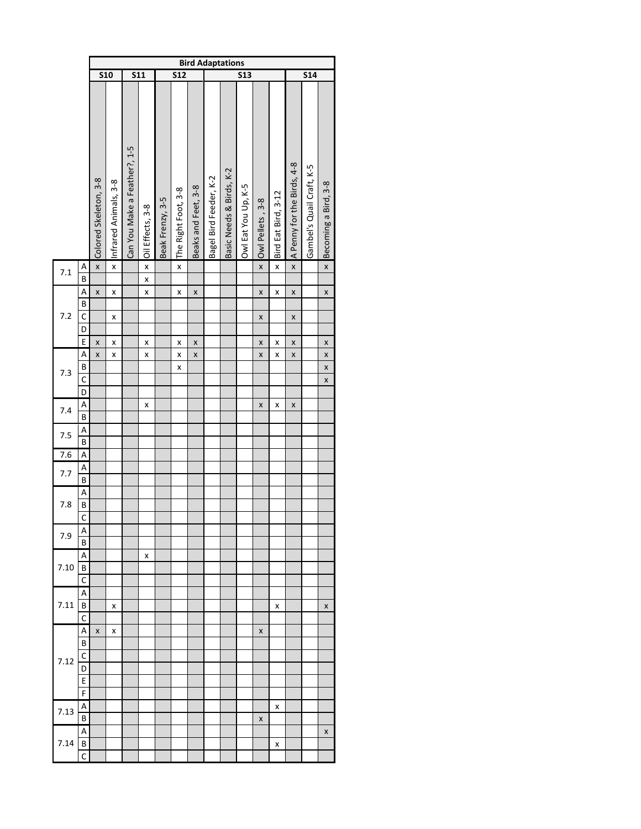|      |                         |                         |                       |                              |                         |                  |                         |                     | <b>Bird Adaptations</b> |                          |                     |                  |                     |                            |                           |                      |
|------|-------------------------|-------------------------|-----------------------|------------------------------|-------------------------|------------------|-------------------------|---------------------|-------------------------|--------------------------|---------------------|------------------|---------------------|----------------------------|---------------------------|----------------------|
|      |                         | $\overline{\text{S10}}$ |                       | $\overline{\text{S}11}$      |                         |                  | $\overline{\text{S12}}$ |                     |                         |                          | <b>S13</b>          |                  |                     |                            | $\overline{\text{S}14}$   |                      |
|      |                         | Colored Skeleton, 3-8   | Infrared Animals, 3-8 | Can You Make a Feather?, 1-5 | Oil Effects, 3-8        | Beak Frenzy, 3-5 | The Right Foot, 3-8     | Beaks and Feet, 3-8 | Bagel Bird Feeder, K-2  | Basic Needs & Birds, K-2 | Owl Eat You Up, K-5 | Owl Pellets, 3-8 | Bird Eat Bird, 3-12 | A Penny for the Birds, 4-8 | Gambel's Quail Craft, K-5 | Becoming a Bird, 3-8 |
| 7.1  | $\overline{A}$          | $\mathsf{x}$            | $\mathsf{x}$          |                              | $\overline{\mathbf{x}}$ |                  | $\mathsf{x}$            |                     |                         |                          |                     | $\mathsf{x}$     | $\mathsf{x}$        | $\overline{\mathbf{x}}$    |                           | $\mathsf{x}$         |
|      | $\overline{\mathsf{B}}$ |                         |                       |                              | $\mathsf{x}$            |                  |                         |                     |                         |                          |                     |                  |                     |                            |                           |                      |
|      | A                       | X                       | X                     |                              | X                       |                  | X                       | X                   |                         |                          |                     | X                | X                   | X                          |                           | X                    |
|      | $\overline{B}$          |                         |                       |                              |                         |                  |                         |                     |                         |                          |                     |                  |                     |                            |                           |                      |
| 7.2  | $\overline{c}$          |                         | X                     |                              |                         |                  |                         |                     |                         |                          |                     | X                |                     | X                          |                           |                      |
|      | $\overline{D}$          |                         |                       |                              |                         |                  |                         |                     |                         |                          |                     |                  |                     |                            |                           |                      |
|      | $\overline{E}$          | X                       | X                     |                              | x                       |                  | X                       | X                   |                         |                          |                     | X                | x                   | X                          |                           | X                    |
|      | A                       | X                       | X                     |                              | x                       |                  | X                       | X                   |                         |                          |                     | X                | x                   | X                          |                           | X                    |
|      | $\overline{B}$          |                         |                       |                              |                         |                  | X                       |                     |                         |                          |                     |                  |                     |                            |                           | X                    |
| 7.3  | $\overline{c}$          |                         |                       |                              |                         |                  |                         |                     |                         |                          |                     |                  |                     |                            |                           |                      |
|      |                         |                         |                       |                              |                         |                  |                         |                     |                         |                          |                     |                  |                     |                            |                           | X                    |
|      | $\overline{D}$          |                         |                       |                              |                         |                  |                         |                     |                         |                          |                     |                  |                     |                            |                           |                      |
| 7.4  | $\frac{A}{B}$           |                         |                       |                              | x                       |                  |                         |                     |                         |                          |                     | X                | X                   | X                          |                           |                      |
|      |                         |                         |                       |                              |                         |                  |                         |                     |                         |                          |                     |                  |                     |                            |                           |                      |
| 7.5  |                         |                         |                       |                              |                         |                  |                         |                     |                         |                          |                     |                  |                     |                            |                           |                      |
|      | $\frac{A}{B}$           |                         |                       |                              |                         |                  |                         |                     |                         |                          |                     |                  |                     |                            |                           |                      |
| 7.6  | $\overline{A}$          |                         |                       |                              |                         |                  |                         |                     |                         |                          |                     |                  |                     |                            |                           |                      |
|      |                         |                         |                       |                              |                         |                  |                         |                     |                         |                          |                     |                  |                     |                            |                           |                      |
| 7.7  | $\frac{A}{B}$           |                         |                       |                              |                         |                  |                         |                     |                         |                          |                     |                  |                     |                            |                           |                      |
|      | $\overline{A}$          |                         |                       |                              |                         |                  |                         |                     |                         |                          |                     |                  |                     |                            |                           |                      |
| 7.8  | $\overline{B}$          |                         |                       |                              |                         |                  |                         |                     |                         |                          |                     |                  |                     |                            |                           |                      |
|      |                         |                         |                       |                              |                         |                  |                         |                     |                         |                          |                     |                  |                     |                            |                           |                      |
|      | $\overline{C}$          |                         |                       |                              |                         |                  |                         |                     |                         |                          |                     |                  |                     |                            |                           |                      |
| 7.9  | A                       |                         |                       |                              |                         |                  |                         |                     |                         |                          |                     |                  |                     |                            |                           |                      |
|      | B                       |                         |                       |                              |                         |                  |                         |                     |                         |                          |                     |                  |                     |                            |                           |                      |
|      | А                       |                         |                       |                              | x                       |                  |                         |                     |                         |                          |                     |                  |                     |                            |                           |                      |
| 7.10 | B                       |                         |                       |                              |                         |                  |                         |                     |                         |                          |                     |                  |                     |                            |                           |                      |
|      | C                       |                         |                       |                              |                         |                  |                         |                     |                         |                          |                     |                  |                     |                            |                           |                      |
|      | А                       |                         |                       |                              |                         |                  |                         |                     |                         |                          |                     |                  |                     |                            |                           |                      |
| 7.11 | B                       |                         | x                     |                              |                         |                  |                         |                     |                         |                          |                     |                  | X                   |                            |                           | X                    |
|      | C                       |                         |                       |                              |                         |                  |                         |                     |                         |                          |                     |                  |                     |                            |                           |                      |
|      | А                       |                         |                       |                              |                         |                  |                         |                     |                         |                          |                     |                  |                     |                            |                           |                      |
|      |                         | X                       | x                     |                              |                         |                  |                         |                     |                         |                          |                     | X                |                     |                            |                           |                      |
|      | B                       |                         |                       |                              |                         |                  |                         |                     |                         |                          |                     |                  |                     |                            |                           |                      |
| 7.12 | C                       |                         |                       |                              |                         |                  |                         |                     |                         |                          |                     |                  |                     |                            |                           |                      |
|      | D                       |                         |                       |                              |                         |                  |                         |                     |                         |                          |                     |                  |                     |                            |                           |                      |
|      | E                       |                         |                       |                              |                         |                  |                         |                     |                         |                          |                     |                  |                     |                            |                           |                      |
|      | F                       |                         |                       |                              |                         |                  |                         |                     |                         |                          |                     |                  |                     |                            |                           |                      |
|      | A                       |                         |                       |                              |                         |                  |                         |                     |                         |                          |                     |                  | X                   |                            |                           |                      |
| 7.13 | B                       |                         |                       |                              |                         |                  |                         |                     |                         |                          |                     | X                |                     |                            |                           |                      |
|      | А                       |                         |                       |                              |                         |                  |                         |                     |                         |                          |                     |                  |                     |                            |                           |                      |
|      |                         |                         |                       |                              |                         |                  |                         |                     |                         |                          |                     |                  |                     |                            |                           | X                    |
| 7.14 | B                       |                         |                       |                              |                         |                  |                         |                     |                         |                          |                     |                  | X                   |                            |                           |                      |
|      | C                       |                         |                       |                              |                         |                  |                         |                     |                         |                          |                     |                  |                     |                            |                           |                      |